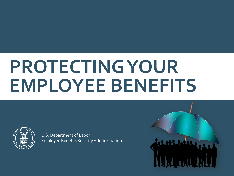# **PROTECTING YOUR EMPLOYEE BENEFITS**



U.S. Department of Labor Employee Benefits Security Administration

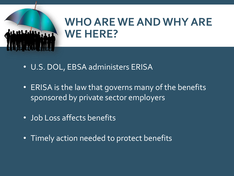

# **WHO ARE WE AND WHY ARE WE HERE?**

- U.S. DOL, EBSA administers ERISA
- ERISA is the law that governs many of the benefits sponsored by private sector employers
- Job Loss affects benefits
- Timely action needed to protect benefits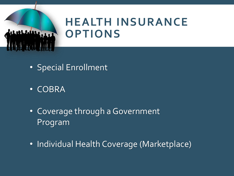

# **HEALTH INSURANCE OPTIONS**

- Special Enrollment
- COBRA
- Coverage through a Government Program
- Individual Health Coverage (Marketplace)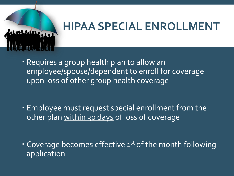

# **HIPAA SPECIAL ENROLLMENT**

 Requires a group health plan to allow an employee/spouse/dependent to enroll for coverage upon loss of other group health coverage

- Employee must request special enrollment from the other plan within 30 days of loss of coverage
- $\cdot$  Coverage becomes effective  $1^{st}$  of the month following application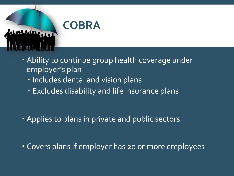

- Ability to continue group health coverage under employer's plan
	- · Includes dental and vision plans
	- Excludes disability and life insurance plans

- Applies to plans in private and public sectors
- Covers plans if employer has 20 or more employees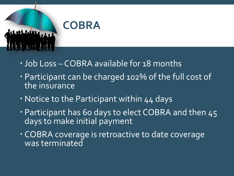

- Job Loss COBRA available for 18 months
- Participant can be charged 102% of the full cost of the insurance
- Notice to the Participant within 44 days
- · Participant has 60 days to elect COBRA and then 45 days to make initial payment
- COBRA coverage is retroactive to date coverage was terminated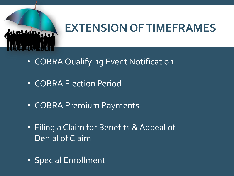

# **EXTENSION OF TIMEFRAMES**

- COBRA Qualifying Event Notification
- COBRA Election Period
- COBRA Premium Payments
- Filing a Claim for Benefits & Appeal of Denial of Claim
- Special Enrollment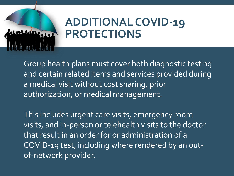

# **ADDITIONAL COVID-19 PROTECTIONS**

Group health plans must cover both diagnostic testing and certain related items and services provided during a medical visit without cost sharing, prior authorization, or medical management.

This includes urgent care visits, emergency room visits, and in-person or telehealth visits to the doctor that result in an order for or administration of a COVID-19 test, including where rendered by an outof-network provider.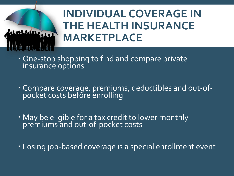

# **INDIVIDUAL COVERAGE IN THE HEALTH INSURANCE MARKETPLACE**

- . One-stop shopping to find and compare private insurance options
- Compare coverage, premiums, deductibles and out-ofpocket costs before enrolling
- May be eligible for a tax credit to lower monthly premiums and out-of-pocket costs
- Losing job-based coverage is a special enrollment event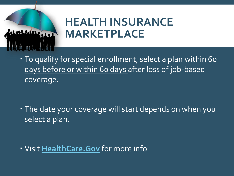

# **HEALTH INSURANCE MARKETPLACE**

. To qualify for special enrollment, select a plan within 60 days before or within 60 days after loss of job-based coverage.

 The date your coverage will start depends on when you select a plan.

Visit **[HealthCare.Gov](https://www.healthcare.gov/)** for more info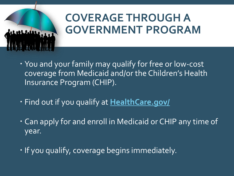

# **COVERAGE THROUGH A GOVERNMENT PROGRAM**

- You and your family may qualify for free or low-cost coverage from Medicaid and/or the Children's Health Insurance Program (CHIP).
- Find out if you qualify at **[HealthCare.gov/](https://www.healthcare.gov/)**
- Can apply for and enroll in Medicaid or CHIP any time of year.
- . If you qualify, coverage begins immediately.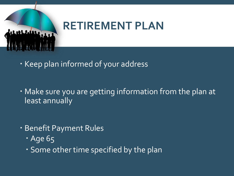

# **RETIREMENT PLAN**

- . Keep plan informed of your address
- Make sure you are getting information from the plan at least annually
- Benefit Payment Rules
	- **Age 65**
	- Some other time specified by the plan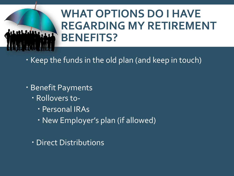# **WHAT OPTIONS DO I HAVE REGARDING MY RETIREMENT BENEFITS?**

- Keep the funds in the old plan (and keep in touch)
- Benefit Payments
	- Rollovers to-
		- Personal IRAs
		- New Employer's plan (if allowed)
	- Direct Distributions